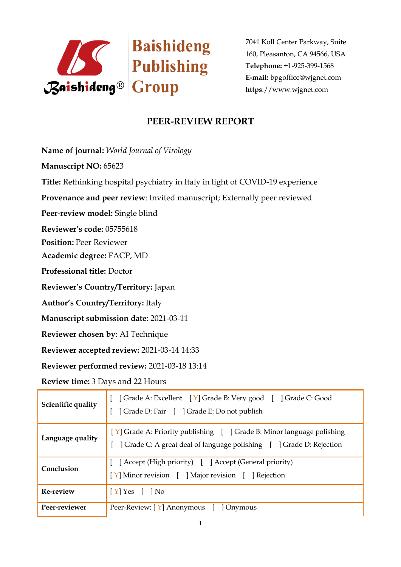

7041 Koll Center Parkway, Suite 160, Pleasanton, CA 94566, USA **Telephone:** +1-925-399-1568 **E-mail:** bpgoffice@wjgnet.com **https**://www.wjgnet.com

### **PEER-REVIEW REPORT**

**Name of journal:** *World Journal of Virology*

**Manuscript NO:** 65623

**Title:** Rethinking hospital psychiatry in Italy in light of COVID-19 experience

**Provenance and peer review**: Invited manuscript; Externally peer reviewed

**Peer-review model:** Single blind

**Reviewer's code:** 05755618

**Position:** Peer Reviewer

**Academic degree:** FACP, MD

**Professional title:** Doctor

**Reviewer's Country/Territory:** Japan

**Author's Country/Territory:** Italy

**Manuscript submission date:** 2021-03-11

**Reviewer chosen by:** AI Technique

**Reviewer accepted review:** 2021-03-14 14:33

**Reviewer performed review:** 2021-03-18 13:14

**Review time:** 3 Days and 22 Hours

| Scientific quality | Crade A: Excellent [Y] Grade B: Very good [ ] Grade C: Good<br>  Grade D: Fair [ ] Grade E: Do not publish                                     |
|--------------------|------------------------------------------------------------------------------------------------------------------------------------------------|
| Language quality   | [Y] Grade A: Priority publishing [ ] Grade B: Minor language polishing<br>] Grade C: A great deal of language polishing [ ] Grade D: Rejection |
| Conclusion         | [ ] Accept (High priority) [ ] Accept (General priority)<br>[Y] Minor revision [ ] Major revision [ ] Rejection                                |
| Re-review          | $[Y]$ Yes $[$ ] No                                                                                                                             |
| Peer-reviewer      | Peer-Review: [Y] Anonymous [<br>  Onymous                                                                                                      |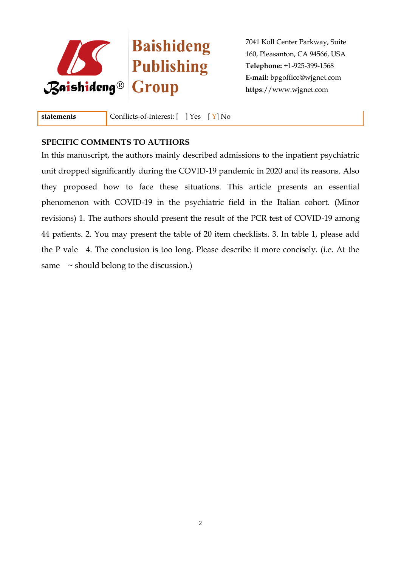

# Baishideng **Existidence**

7041 Koll Center Parkway, Suite 160, Pleasanton, CA 94566, USA **Telephone:** +1-925-399-1568 **E-mail:** bpgoffice@wjgnet.com **https**://www.wjgnet.com

**statements** Conflicts-of-Interest: [ ] Yes [ Y] No

#### **SPECIFIC COMMENTS TO AUTHORS**

In this manuscript, the authors mainly described admissions to the inpatient psychiatric unit dropped significantly during the COVID-19 pandemic in 2020 and its reasons. Also they proposed how to face these situations. This article presents an essential phenomenon with COVID-19 in the psychiatric field in the Italian cohort. (Minor revisions) 1. The authors should present the result of the PCR test of COVID-19 among 44 patients. 2. You may present the table of 20 item checklists. 3. In table 1, please add the P vale 4. The conclusion is too long. Please describe it more concisely. (i.e. At the same  $\sim$  should belong to the discussion.)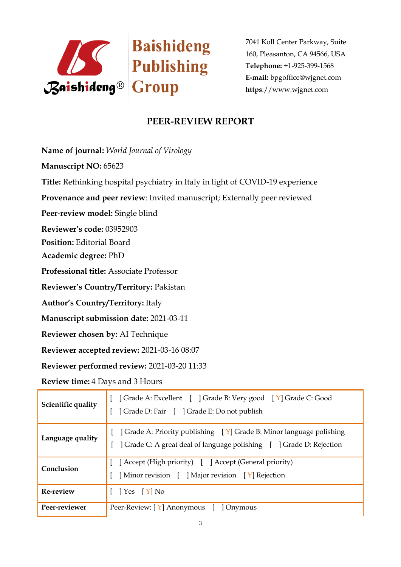

7041 Koll Center Parkway, Suite 160, Pleasanton, CA 94566, USA **Telephone:** +1-925-399-1568 **E-mail:** bpgoffice@wjgnet.com **https**://www.wjgnet.com

### **PEER-REVIEW REPORT**

**Name of journal:** *World Journal of Virology*

**Manuscript NO:** 65623

**Title:** Rethinking hospital psychiatry in Italy in light of COVID-19 experience

**Provenance and peer review**: Invited manuscript; Externally peer reviewed

**Peer-review model:** Single blind

**Reviewer's code:** 03952903

**Position:** Editorial Board

**Academic degree:** PhD

**Professional title:** Associate Professor

**Reviewer's Country/Territory:** Pakistan

**Author's Country/Territory:** Italy

**Manuscript submission date:** 2021-03-11

**Reviewer chosen by:** AI Technique

**Reviewer accepted review:** 2021-03-16 08:07

**Reviewer performed review:** 2021-03-20 11:33

**Review time:** 4 Days and 3 Hours

| Scientific quality | Crade A: Excellent [ ] Grade B: Very good [ Y] Grade C: Good<br>  Grade D: Fair [ ] Grade E: Do not publish                                                         |
|--------------------|---------------------------------------------------------------------------------------------------------------------------------------------------------------------|
| Language quality   | $\lceil$   Grade A: Priority publishing $\lceil Y \rceil$ Grade B: Minor language polishing<br>] Grade C: A great deal of language polishing [ ] Grade D: Rejection |
| Conclusion         | ] Accept (High priority) [ ] Accept (General priority)<br>Minor revision [ ] Major revision [ Y] Rejection                                                          |
| Re-review          | $[$   Yes $[Y]$ No                                                                                                                                                  |
| Peer-reviewer      | Peer-Review: [Y] Anonymous [<br>  Onymous                                                                                                                           |